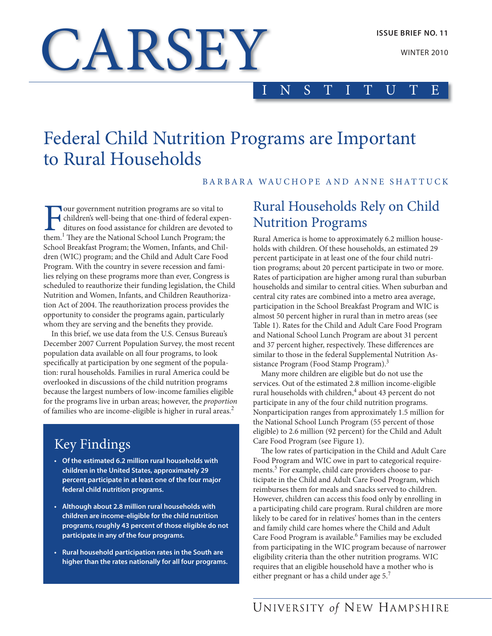**WINTER 2010** 

# **CARSEY**

## INSTITUTE

## Federal Child Nutrition Programs are Important to Rural Households

#### BARBARA WAUCHOPE AND ANNE SHATTUCK

Four government nutrition programs are so vital to children's well-being that one-third of federal expenditures on food assistance for children are devoted to them.<sup>1</sup> They are the National School Lunch Program; the school Breakfast Program; the Women, infants, and Children (WIC) program; and the Child and Adult Care Food Program. With the country in severe recession and families relying on these programs more than ever, Congress is scheduled to reauthorize their funding legislation, the Child Nutrition and Women, Infants, and Children Reauthorization act of 2004. The reauthorization process provides the opportunity to consider the programs again, particularly whom they are serving and the benefits they provide.

In this brief, we use data from the U.S. Census Bureau's December 2007 Current Population Survey, the most recent population data available on all four programs, to look specifically at participation by one segment of the population: rural households. Families in rural America could be overlooked in discussions of the child nutrition programs because the largest numbers of low-income families eligible for the programs live in urban areas; however, the *proportion* of families who are income-eligible is higher in rural areas.<sup>2</sup>

## key Findings

- **of the estimated 6.2 million rural households with**  children in the United States, approximately 29 **percent participate in at least one of the four major federal child nutrition programs.**
- **Although about 2.8 million rural households with children are income-eligible for the child nutrition programs, roughly 43 percent of those eligible do not participate in any of the four programs.**
- **Rural household participation rates in the South are higher than the rates nationally for all four programs.**

## Rural Households Rely on Child **Nutrition Programs**

Rural America is home to approximately 6.2 million households with children. Of these households, an estimated 29 percent participate in at least one of the four child nutrition programs; about 20 percent participate in two or more. Rates of participation are higher among rural than suburban households and similar to central cities. When suburban and central city rates are combined into a metro area average, participation in the school Breakfast Program and WiC is almost 50 percent higher in rural than in metro areas (see Table 1). Rates for the Child and Adult Care Food Program and National School Lunch Program are about 31 percent and 37 percent higher, respectively. These differences are similar to those in the federal Supplemental Nutrition Assistance Program (Food Stamp Program).<sup>3</sup>

Many more children are eligible but do not use the services. Out of the estimated 2.8 million income-eligible rural households with children,<sup>4</sup> about 43 percent do not participate in any of the four child nutrition programs. Nonparticipation ranges from approximately 1.5 million for the National School Lunch Program (55 percent of those eligible) to 2.6 million (92 percent) for the Child and Adult Care Food Program (see Figure 1).

The low rates of participation in the Child and Adult Care Food Program and WiC owe in part to categorical requirements.<sup>5</sup> For example, child care providers choose to participate in the Child and Adult Care Food Program, which reimburses them for meals and snacks served to children. However, children can access this food only by enrolling in a participating child care program. Rural children are more likely to be cared for in relatives' homes than in the centers and family child care homes where the Child and Adult Care Food Program is available.<sup>6</sup> Families may be excluded from participating in the WiC program because of narrower eligibility criteria than the other nutrition programs. WiC requires that an eligible household have a mother who is either pregnant or has a child under age 5.<sup>7</sup>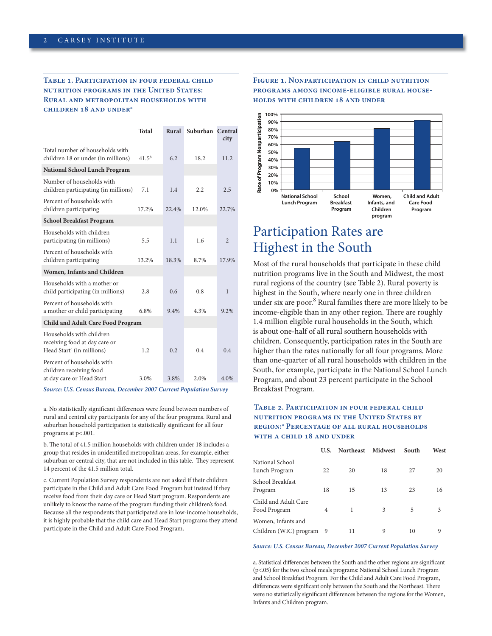#### **Table 1. Participation in four federal child nutrition programs in the United States: Rural and metropolitan households with children 18 and undera**

|                                                                                                    | <b>Total</b> | Rural | Suburban Central | city           |
|----------------------------------------------------------------------------------------------------|--------------|-------|------------------|----------------|
| Total number of households with<br>children 18 or under (in millions)                              | $41.5^{b}$   | 6.2   | 18.2             | 11.2           |
| <b>National School Lunch Program</b>                                                               |              |       |                  |                |
| Number of households with<br>children participating (in millions)                                  | 7.1          | 1.4   | 2.2              | 2.5            |
| Percent of households with<br>children participating                                               | 17.2%        | 22.4% | 12.0%            | 22.7%          |
| <b>School Breakfast Program</b>                                                                    |              |       |                  |                |
| Households with children<br>participating (in millions)                                            | 5.5          | 1.1   | 1.6              | $\overline{2}$ |
| Percent of households with<br>children participating                                               | 13.2%        | 18.3% | 8.7%             | 17.9%          |
| Women, Infants and Children                                                                        |              |       |                  |                |
| Households with a mother or<br>child participating (in millions)                                   | 2.8          | 0.6   | 0.8              | 1              |
| Percent of households with<br>a mother or child participating                                      | 6.8%         | 9.4%  | 4.3%             | 9.2%           |
| <b>Child and Adult Care Food Program</b>                                                           |              |       |                  |                |
| Households with children<br>receiving food at day care or<br>Head Start <sup>c</sup> (in millions) | 1.2          | 0.2   | 0.4              | 0.4            |
| Percent of households with<br>children receiving food<br>at day care or Head Start                 | 3.0%         | 3.8%  | 2.0%             | 4.0%           |

*Source: U.S. Census Bureau, December 2007 Current Population Survey*

a. No statistically significant differences were found between numbers of rural and central city participants for any of the four programs. Rural and suburban household participation is statistically significant for all four programs at p<.001.

b. The total of 41.5 million households with children under 18 includes a group that resides in unidentified metropolitan areas, for example, either suburban or central city, that are not included in this table. They represent 14 percent of the 41.5 million total.

c. Current Population survey respondents are not asked if their children participate in the Child and Adult Care Food Program but instead if they receive food from their day care or Head Start program. Respondents are unlikely to know the name of the program funding their children's food. Because all the respondents that participated are in low-income households, it is highly probable that the child care and Head start programs they attend participate in the Child and Adult Care Food Program.

#### **Figure 1. Nonparticipation in child nutrition programs among income-eligible rural households with children 18 and under**



## Participation Rates are Highest in the South

Most of the rural households that participate in these child nutrition programs live in the south and Midwest, the most rural regions of the country (see Table 2). Rural poverty is highest in the South, where nearly one in three children under six are poor.<sup>8</sup> Rural families there are more likely to be income-eligible than in any other region. There are roughly 1.4 million eligible rural households in the South, which is about one-half of all rural southern households with children. Consequently, participation rates in the South are higher than the rates nationally for all four programs. More than one-quarter of all rural households with children in the South, for example, participate in the National School Lunch Program, and about 23 percent participate in the School Breakfast Program.

#### **Table 2. Participation in four federal child nutrition programs in the United States by region:a Percentage of all rural households with a child 18 and under**

|                                                | U.S. | <b>Northeast</b> | Midwest | South | West |
|------------------------------------------------|------|------------------|---------|-------|------|
| National School<br>Lunch Program               | 22   | 20               | 18      | 27    | 20   |
| School Breakfast<br>Program                    | 18   | 15               | 13      | 23    | 16   |
| Child and Adult Care<br>Food Program           | 4    | 1                | 3       | 5     | 3    |
| Women, Infants and<br>Children (WIC) program 9 |      | 11               | 9       | 10    | 9    |

*Source: U.S. Census Bureau, December 2007 Current Population Survey*

a. statistical differences between the south and the other regions are significant (p<.05) for the two school meals programs: national school Lunch Program and School Breakfast Program. For the Child and Adult Care Food Program, differences were significant only between the South and the Northeast. There were no statistically significant differences between the regions for the Women, infants and Children program.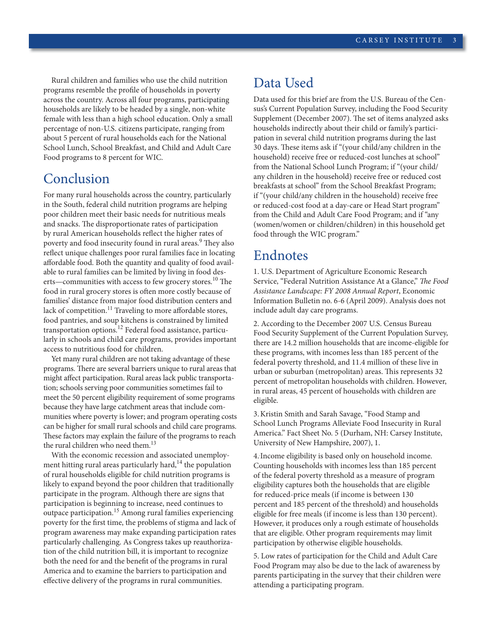Rural children and families who use the child nutrition programs resemble the profile of households in poverty across the country. Across all four programs, participating households are likely to be headed by a single, non-white female with less than a high school education. Only a small percentage of non-U.S. citizens participate, ranging from about 5 percent of rural households each for the National School Lunch, School Breakfast, and Child and Adult Care Food programs to 8 percent for WiC.

### Conclusion

For many rural households across the country, particularly in the south, federal child nutrition programs are helping poor children meet their basic needs for nutritious meals and snacks. The disproportionate rates of participation by rural American households reflect the higher rates of poverty and food insecurity found in rural areas.<sup>9</sup> They also reflect unique challenges poor rural families face in locating affordable food. Both the quantity and quality of food available to rural families can be limited by living in food deserts—communities with access to few grocery stores.<sup>10</sup> The food in rural grocery stores is often more costly because of families' distance from major food distribution centers and lack of competition.<sup>11</sup> Traveling to more affordable stores, food pantries, and soup kitchens is constrained by limited transportation options.<sup>12</sup> Federal food assistance, particularly in schools and child care programs, provides important access to nutritious food for children.

Yet many rural children are not taking advantage of these programs. There are several barriers unique to rural areas that might affect participation. Rural areas lack public transportation; schools serving poor communities sometimes fail to meet the 50 percent eligibility requirement of some programs because they have large catchment areas that include communities where poverty is lower; and program operating costs can be higher for small rural schools and child care programs. These factors may explain the failure of the programs to reach the rural children who need them.<sup>13</sup>

With the economic recession and associated unemployment hitting rural areas particularly hard, $14$  the population of rural households eligible for child nutrition programs is likely to expand beyond the poor children that traditionally participate in the program. although there are signs that participation is beginning to increase, need continues to outpace participation.<sup>15</sup> Among rural families experiencing poverty for the first time, the problems of stigma and lack of program awareness may make expanding participation rates particularly challenging. As Congress takes up reauthorization of the child nutrition bill, it is important to recognize both the need for and the benefit of the programs in rural America and to examine the barriers to participation and effective delivery of the programs in rural communities.

## Data Used

Data used for this brief are from the U.S. Bureau of the Census's Current Population survey, including the Food security Supplement (December 2007). The set of items analyzed asks households indirectly about their child or family's participation in several child nutrition programs during the last 30 days. These items ask if "(your child/any children in the household) receive free or reduced-cost lunches at school" from the National School Lunch Program; if "(your child/ any children in the household) receive free or reduced cost breakfasts at school" from the school Breakfast Program; if "(your child/any children in the household) receive free or reduced-cost food at a day-care or Head start program" from the Child and Adult Care Food Program; and if "any (women/women or children/children) in this household get food through the WiC program."

## Endnotes

1. U.S. Department of Agriculture Economic Research service, "Federal nutrition assistance at a Glance," *The Food Assistance Landscape: FY 2008 Annual Report*, economic Information Bulletin no. 6-6 (April 2009). Analysis does not include adult day care programs.

2. According to the December 2007 U.S. Census Bureau Food security supplement of the Current Population survey, there are 14.2 million households that are income-eligible for these programs, with incomes less than 185 percent of the federal poverty threshold, and 11.4 million of these live in urban or suburban (metropolitan) areas. This represents 32 percent of metropolitan households with children. However, in rural areas, 45 percent of households with children are eligible.

3.kristin smith and sarah savage, "Food stamp and School Lunch Programs Alleviate Food Insecurity in Rural America." Fact Sheet No. 5 (Durham, NH: Carsey Institute, University of New Hampshire, 2007), 1.

4.. income eligibility is based only on household income. Counting households with incomes less than 185 percent of the federal poverty threshold as a measure of program eligibility captures both the households that are eligible for reduced-price meals (if income is between 130 percent and 185 percent of the threshold) and households eligible for free meals (if income is less than 130 percent). However, it produces only a rough estimate of households that are eligible. other program requirements may limit participation by otherwise eligible households.

5. Low rates of participation for the Child and Adult Care Food Program may also be due to the lack of awareness by parents participating in the survey that their children were attending a participating program.